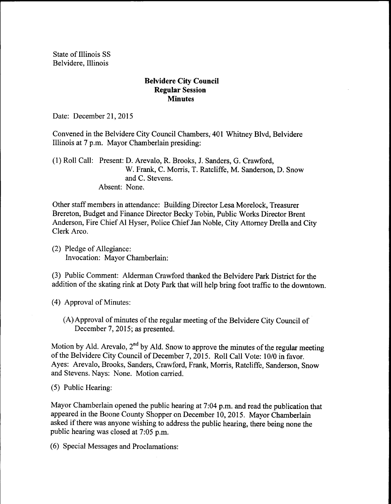State of Illinois SS Belvidere, Illinois

## Belvidere City Council Regular Session **Minutes**

Date: December 21, 2015

Convened in the Belvidere City Council Chambers, 401 Whitney Blvd, Belvidere Illinois at 7 p.m. Mayor Chamberlain presiding:

1) Roll Call: Present: D. Arevalo, R. Brooks, J. Sanders, G. Crawford, W. Frank, C. Morris, T. Ratcliffe, M. Sanderson, D. Snow and C. Stevens. Absent: None.

Other staff members in attendance: Building Director Lesa Morelock, Treasurer Brereton, Budget and Finance Director Becky Tobin, Public Works Director Brent Anderson, Fire Chief Al Hyser, Police Chief Jan Noble, City Attorney Drella and City Clerk Arco.

2) Pledge of Allegiance: Invocation: Mayor Chamberlain:

3) Public Comment: Alderman Crawford thanked the Belvidere Park District for the addition of the skating rink at Doty Park that will help bring foot traffic to the downtown.

- 4) Approval of Minutes:
	- (A) Approval of minutes of the regular meeting of the Belvidere City Council of December 7, 2015; as presented.

Motion by Ald. Arevalo,  $2^{nd}$  by Ald. Snow to approve the minutes of the regular meeting of the Belvidere City Council of December 7, 2015. Roll Call Vote: 10/0 in favor. Ayes: Arevalo, Brooks, Sanders, Crawford, Frank, Morris, Ratcliffe, Sanderson, Snow and Stevens. Nays: None. Motion carried.

5) Public Hearing:

Mayor Chamberlain opened the public hearing at 7:04 p.m. and read the publication that appeared in the Boone County Shopper on December 10, 2015. Mayor Chamberlain asked if there was anyone wishing to address the public hearing, there being none the public hearing was closed at 7:05 p.m.

6) Special Messages and Proclamations: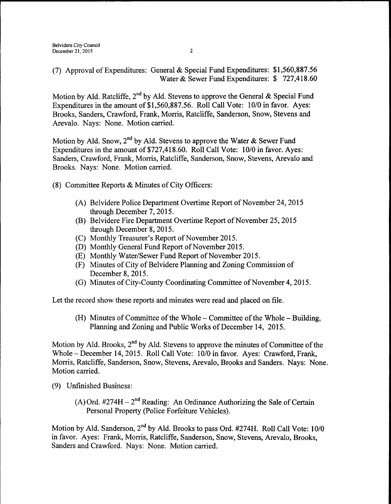7) Approval ofExpenditures: General& Special Fund Expenditures: \$ 1, 560,887.56 Water& Sewer Fund Expenditures: \$ 727,418.60

Motion by Ald. Ratcliffe, 2<sup>nd</sup> by Ald. Stevens to approve the General & Special Fund Expenditures in the amount of \$1,560,887.56. Roll Call Vote: 10/0 in favor. Ayes: Brooks, Sanders, Crawford, Frank, Morris, Ratcliffe, Sanderson, Snow, Stevens and Arevalo. Nays: None. Motion carried.

Motion by Ald. Snow, 2<sup>nd</sup> by Ald. Stevens to approve the Water & Sewer Fund Expenditures in the amount of \$727,418.60. Roll Call Vote: 10/0 in favor. Ayes: Sanders, Crawford, Frank, Morris, Ratcliffe, Sanderson, Snow, Stevens, Arevalo and Brooks. Nays: None. Motion carried.

- 8) Committee Reports& Minutes of City Officers:
	- A) Belvidere Police Department Overtime Report of November 24, 2015 through December 7, 2015.
	- (B) Belvidere Fire Department Overtime Report of November 25, 2015 through December 8, 2015.
	- (C) Monthly Treasurer's Report of November 2015.
	- D) Monthly General Fund Report of November 2015.
	- (E) Monthly Water/Sewer Fund Report of November 2015.
	- (F) Minutes of City of Belvidere Planning and Zoning Commission of December 8, 2015.
	- (G) Minutes of City-County Coordinating Committee of November 4, 2015.

Let the record show these reports and minutes were read and placed on file.

(H) Minutes of Committee of the Whole – Committee of the Whole – Building, Planning and Zoning and Public Works of December 14, 2015.

Motion by Ald. Brooks, 2<sup>nd</sup> by Ald. Stevens to approve the minutes of Committee of the Whole – December 14, 2015. Roll Call Vote: 10/0 in favor. Ayes: Crawford, Frank, Morris, Ratcliffe, Sanderson, Snow, Stevens, Arevalo, Brooks and Sanders. Nays: None. Motion carried.

- 9) Unfinished Business:
	- A) Ord.  $\#274H 2^{nd}$  Reading: An Ordinance Authorizing the Sale of Certain Personal Property( Police Forfeiture Vehicles).

Motion by Ald. Sanderson, 2<sup>nd</sup> by Ald. Brooks to pass Ord. #274H. Roll Call Vote: 10/0 in favor. Ayes: Frank, Morris, Ratcliffe, Sanderson, Snow, Stevens, Arevalo, Brooks, Sanders and Crawford. Nays: None. Motion carried.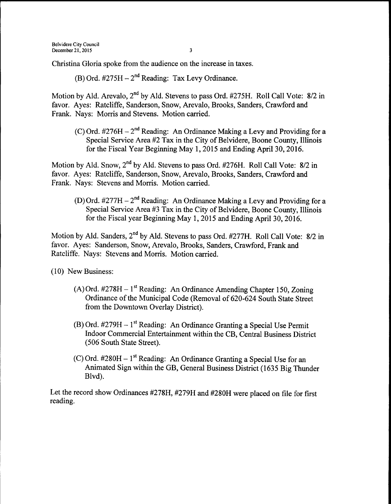Christina Gloria spoke from the audience on the increase in taxes.

B) Ord. #275H – 2<sup>nd</sup> Reading: Tax Levy Ordinance.

Motion by Ald. Arevalo, 2<sup>nd</sup> by Ald. Stevens to pass Ord. #275H. Roll Call Vote: 8/2 in favor. Ayes: Ratcliffe, Sanderson, Snow, Arevalo, Brooks, Sanders, Crawford and Frank. Nays: Morris and Stevens. Motion carried.

C) Ord.  $\#276H - 2<sup>nd</sup>$  Reading: An Ordinance Making a Levy and Providing for a Special Service Area #2 Tax in the City of Belvidere, Boone County, Illinois for the Fiscal Year Beginning May 1, 2015 and Ending April 30, 2016.

Motion by Ald. Snow, 2<sup>nd</sup> by Ald. Stevens to pass Ord. #276H. Roll Call Vote: 8/2 in favor. Ayes: Ratcliffe, Sanderson, Snow, Arevalo, Brooks, Sanders, Crawford and Frank. Nays: Stevens and Morris. Motion carried.

D) Ord.  $#277H - 2<sup>nd</sup>$  Reading: An Ordinance Making a Levy and Providing for a Special Service Area #3 Tax in the City of Belvidere, Boone County, Illinois for the Fiscal year Beginning May 1, 2015 and Ending April 30, 2016.

Motion by Ald. Sanders, 2<sup>nd</sup> by Ald. Stevens to pass Ord. #277H. Roll Call Vote: 8/2 in favor. Ayes: Sanderson, Snow, Arevalo, Brooks, Sanders, Crawford, Frank and Ratcliffe. Nays: Stevens and Morris. Motion carried.

10) New Business:

- A) Ord. #278H 1<sup>st</sup> Reading: An Ordinance Amending Chapter 150, Zoning Ordinance of the Municipal Code (Removal of 620-624 South State Street from the Downtown Overlay District).
- B) Ord. #279H 1<sup>st</sup> Reading: An Ordinance Granting a Special Use Permit Indoor Commercial Entertainment within the CB, Central Business District 506 South State Street).
- C) Ord.  $\#280H 1$ <sup>st</sup> Reading: An Ordinance Granting a Special Use for an Animated Sign within the GB, General Business District( 1635 Big Thunder Blvd).

Let the record show Ordinances #278H, #279H and #280H were placed on file for first reading.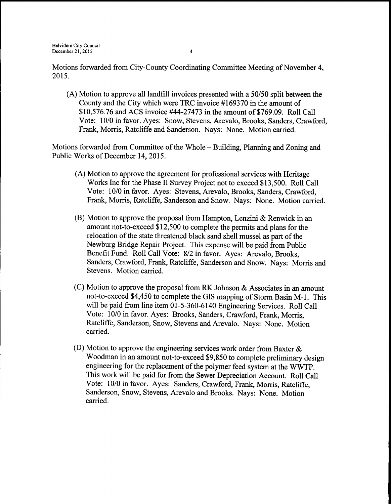Motions forwarded from City-County Coordinating Committee Meeting of November 4, 2015.

A) Motion to approve all landfill invoices presented with a 50150 split between the County and the City which were TRC invoice #169370 in the amount of \$10,576.76 and ACS invoice #44-27473 in the amount of \$769.09. Roll Call Vote: 10/0 in favor. Ayes: Snow, Stevens, Arevalo, Brooks, Sanders, Crawford, Frank, Morris, Ratcliffe and Sanderson. Nays: None. Motion carried.

Motions forwarded from Committee of the Whole—Building, Planning and Zoning and Public Works of December 14, 2015.

- A) Motion to approve the agreement for professional services with Heritage Works Inc for the Phase II Survey Project not to exceed \$13,500. Roll Call Vote: 10/0 in favor. Ayes: Stevens, Arevalo, Brooks, Sanders, Crawford, Frank, Morris, Ratcliffe, Sanderson and Snow. Nays: None. Motion carried.
- B) Motion to approve the proposal from Hampton, Lenzini & Renwick in an amount not-to-exceed\$ 12, 500 to complete the permits and plans for the relocation of the state threatened black sand shell mussel as part of the Newburg Bridge Repair Project. This expense will be paid from Public Benefit Fund. Roll Call Vote: 8/2 in favor. Ayes: Arevalo, Brooks, Sanders, Crawford, Frank, Ratcliffe, Sanderson and Snow. Nays: Morris and Stevens. Motion carried.
- $(C)$  Motion to approve the proposal from RK Johnson & Associates in an amount not-to-exceed \$4,450 to complete the GIS mapping of Storm Basin M-1. This will be paid from line item 01-5-360-6140 Engineering Services. Roll Call Vote: 10/0 in favor. Ayes: Brooks, Sanders, Crawford, Frank, Morris, Ratcliffe, Sanderson, Snow, Stevens and Arevalo. Nays: None. Motion carried.
- (D) Motion to approve the engineering services work order from Baxter  $\&$ Woodman in an amount not-to-exceed \$9,850 to complete preliminary design engineering for the replacement of the polymer feed system at the WWTP. This work will be paid for from the Sewer Depreciation Account. Roll Call Vote: 10/0 in favor. Ayes: Sanders, Crawford, Frank, Morris, Ratcliffe, Sanderson, Snow, Stevens, Arevalo and Brooks. Nays: None. Motion carried.